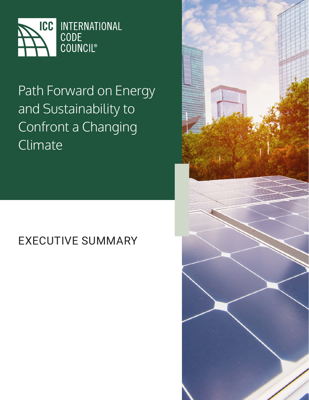

## Path Forward on Energy and Sustainability to Confront a Changing Climate

## EXECUTIVE SUMMARY

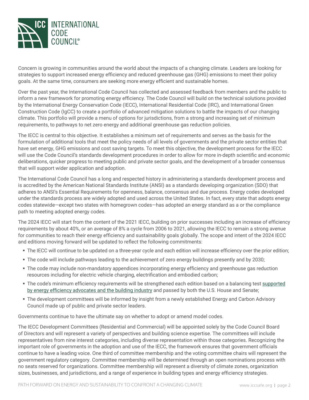

Concern is growing in communities around the world about the impacts of a changing climate. Leaders are looking for strategies to support increased energy efficiency and reduced greenhouse gas (GHG) emissions to meet their policy goals. At the same time, consumers are seeking more energy efficient and sustainable homes.

Over the past year, the International Code Council has collected and assessed feedback from members and the public to inform a new framework for promoting energy efficiency. The Code Council will build on the technical solutions provided by the International Energy Conservation Code (IECC), International Residential Code (IRC), and International Green Construction Code (IgCC) to create a portfolio of advanced mitigation solutions to battle the impacts of our changing climate. This portfolio will provide a menu of options for jurisdictions, from a strong and increasing set of minimum requirements, to pathways to net zero energy and additional greenhouse gas reduction policies.

The IECC is central to this objective. It establishes a minimum set of requirements and serves as the basis for the formulation of additional tools that meet the policy needs of all levels of governments and the private sector entities that have set energy, GHG emissions and cost saving targets. To meet this objective, the development process for the IECC will use the Code Council's standards development procedures in order to allow for more in-depth scientific and economic deliberations, quicker progress to meeting public and private sector goals, and the development of a broader consensus that will support wider application and adoption.

The International Code Council has a long and respected history in administering a standards development process and is accredited by the American National Standards Institute (ANSI) as a standards developing organization (SDO) that adheres to ANSI's Essential Requirements for openness, balance, consensus and due process. Energy codes developed under the standards process are widely adopted and used across the United States. In fact, every state that adopts energy codes statewide—except two states with homegrown codes—has adopted an energy standard as a or the compliance path to meeting adopted energy codes.

The 2024 IECC will start from the content of the 2021 IECC, building on prior successes including an increase of efficiency requirements by about 40%, or an average of 8% a cycle from 2006 to 2021, allowing the IECC to remain a strong avenue for communities to reach their energy efficiency and sustainability goals globally. The scope and intent of the 2024 IECC and editions moving forward will be updated to reflect the following commitments:

- The IECC will continue to be updated on a three-year cycle and each edition will increase efficiency over the prior edition;
- The code will include pathways leading to the achievement of zero energy buildings presently and by 2030;
- The code may include non-mandatory appendices incorporating energy efficiency and greenhouse gas reduction resources including for electric vehicle charging, electrification and embodied carbon;
- The code's minimum efficiency requirements will be strengthened each edition based on a balancing test [supported](https://www.portman.senate.gov/newsroom/press-releases/business-efficiency-leaders-praise-portman-shaheen-legislation-reduce) [by energy efficiency advocates and the building industry](https://www.portman.senate.gov/newsroom/press-releases/business-efficiency-leaders-praise-portman-shaheen-legislation-reduce) and passed by both the U.S. House and Senate;
- The development committees will be informed by insight from a newly established Energy and Carbon Advisory Council made up of public and private sector leaders.

Governments continue to have the ultimate say on whether to adopt or amend model codes.

The IECC Development Committees (Residential and Commercial) will be appointed solely by the Code Council Board of Directors and will represent a variety of perspectives and building science expertise. The committees will include representatives from nine interest categories, including diverse representation within those categories. Recognizing the important role of governments in the adoption and use of the IECC, the framework ensures that government officials continue to have a leading voice. One third of committee membership and the voting committee chairs will represent the government regulatory category. Committee membership will be determined through an open nominations process with no seats reserved for organizations. Committee membership will represent a diversity of climate zones, organization sizes, businesses, and jurisdictions, and a range of experience in building types and energy efficiency strategies.